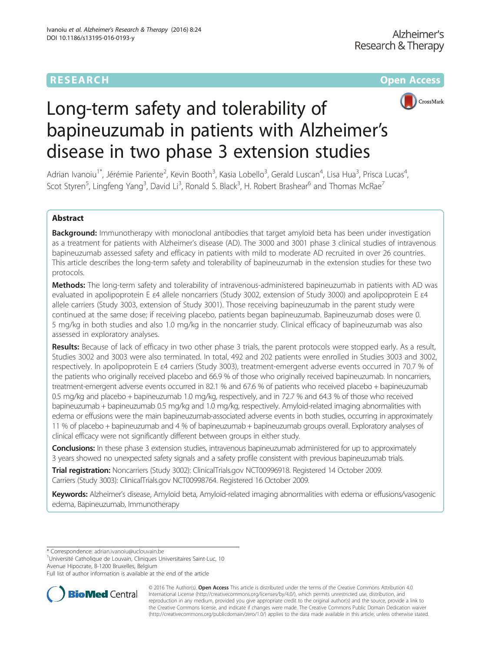## **RESEARCH CHE Open Access**



# Long-term safety and tolerability of bapineuzumab in patients with Alzheimer's disease in two phase 3 extension studies

Adrian Ivanoiu<sup>1\*</sup>, Jérémie Pariente<sup>2</sup>, Kevin Booth<sup>3</sup>, Kasia Lobello<sup>3</sup>, Gerald Luscan<sup>4</sup>, Lisa Hua<sup>3</sup>, Prisca Lucas<sup>4</sup> , Scot Styren<sup>5</sup>, Lingfeng Yang<sup>3</sup>, David Li<sup>3</sup>, Ronald S. Black<sup>3</sup>, H. Robert Brashear<sup>6</sup> and Thomas McRae<sup>7</sup>

### Abstract

Background: Immunotherapy with monoclonal antibodies that target amyloid beta has been under investigation as a treatment for patients with Alzheimer's disease (AD). The 3000 and 3001 phase 3 clinical studies of intravenous bapineuzumab assessed safety and efficacy in patients with mild to moderate AD recruited in over 26 countries. This article describes the long-term safety and tolerability of bapineuzumab in the extension studies for these two protocols.

Methods: The long-term safety and tolerability of intravenous-administered bapineuzumab in patients with AD was evaluated in apolipoprotein E ε4 allele noncarriers (Study 3002, extension of Study 3000) and apolipoprotein E ε4 allele carriers (Study 3003, extension of Study 3001). Those receiving bapineuzumab in the parent study were continued at the same dose; if receiving placebo, patients began bapineuzumab. Bapineuzumab doses were 0. 5 mg/kg in both studies and also 1.0 mg/kg in the noncarrier study. Clinical efficacy of bapineuzumab was also assessed in exploratory analyses.

Results: Because of lack of efficacy in two other phase 3 trials, the parent protocols were stopped early. As a result, Studies 3002 and 3003 were also terminated. In total, 492 and 202 patients were enrolled in Studies 3003 and 3002, respectively. In apolipoprotein E ε4 carriers (Study 3003), treatment-emergent adverse events occurred in 70.7 % of the patients who originally received placebo and 66.9 % of those who originally received bapineuzumab. In noncarriers, treatment-emergent adverse events occurred in 82.1 % and 67.6 % of patients who received placebo + bapineuzumab 0.5 mg/kg and placebo + bapineuzumab 1.0 mg/kg, respectively, and in 72.7 % and 64.3 % of those who received bapineuzumab + bapineuzumab 0.5 mg/kg and 1.0 mg/kg, respectively. Amyloid-related imaging abnormalities with edema or effusions were the main bapineuzumab-associated adverse events in both studies, occurring in approximately 11 % of placebo + bapineuzumab and 4 % of bapineuzumab + bapineuzumab groups overall. Exploratory analyses of clinical efficacy were not significantly different between groups in either study.

**Conclusions:** In these phase 3 extension studies, intravenous bapineuzumab administered for up to approximately 3 years showed no unexpected safety signals and a safety profile consistent with previous bapineuzumab trials.

Trial registration: Noncarriers (Study 3002): ClinicalTrials.gov [NCT00996918](https://clinicaltrials.gov/ct2/show/NCT00996918). Registered 14 October 2009. Carriers (Study 3003): ClinicalTrials.gov [NCT00998764.](https://clinicaltrials.gov/ct2/show/NCT00998764) Registered 16 October 2009.

Keywords: Alzheimer's disease, Amyloid beta, Amyloid-related imaging abnormalities with edema or effusions/vasogenic edema, Bapineuzumab, Immunotherapy

\* Correspondence: [adrian.ivanoiu@uclouvain.be](mailto:adrian.ivanoiu@uclouvain.be) <sup>1</sup>

<sup>1</sup>Université Catholique de Louvain, Cliniques Universitaires Saint-Luc, 10 Avenue Hipocrate, B-1200 Bruxelles, Belgium

Full list of author information is available at the end of the article



© 2016 The Author(s). Open Access This article is distributed under the terms of the Creative Commons Attribution 4.0 International License [\(http://creativecommons.org/licenses/by/4.0/](http://creativecommons.org/licenses/by/4.0/)), which permits unrestricted use, distribution, and reproduction in any medium, provided you give appropriate credit to the original author(s) and the source, provide a link to the Creative Commons license, and indicate if changes were made. The Creative Commons Public Domain Dedication waiver [\(http://creativecommons.org/publicdomain/zero/1.0/](http://creativecommons.org/publicdomain/zero/1.0/)) applies to the data made available in this article, unless otherwise stated.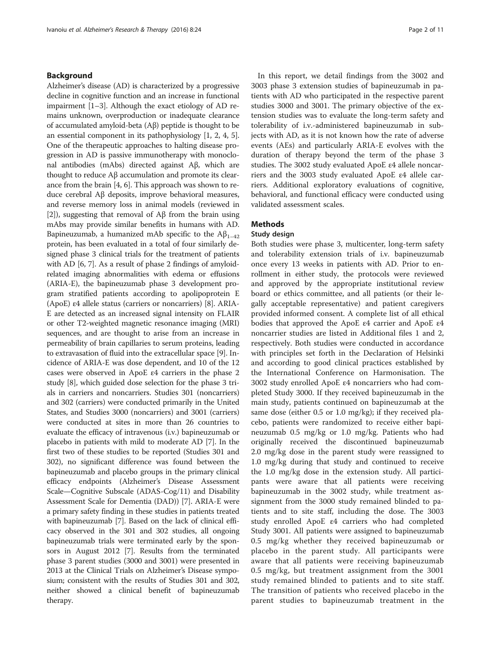#### Background

Alzheimer's disease (AD) is characterized by a progressive decline in cognitive function and an increase in functional impairment [\[1](#page-10-0)–[3\]](#page-10-0). Although the exact etiology of AD remains unknown, overproduction or inadequate clearance of accumulated amyloid-beta (Aβ) peptide is thought to be an essential component in its pathophysiology [\[1, 2](#page-10-0), [4](#page-10-0), [5](#page-10-0)]. One of the therapeutic approaches to halting disease progression in AD is passive immunotherapy with monoclonal antibodies (mAbs) directed against Aβ, which are thought to reduce Aβ accumulation and promote its clearance from the brain [[4, 6](#page-10-0)]. This approach was shown to reduce cerebral Aβ deposits, improve behavioral measures, and reverse memory loss in animal models (reviewed in [[2\]](#page-10-0)), suggesting that removal of Aβ from the brain using mAbs may provide similar benefits in humans with AD. Bapineuzumab, a humanized mAb specific to the  $A\beta_{1-42}$ protein, has been evaluated in a total of four similarly designed phase 3 clinical trials for the treatment of patients with AD [\[6, 7\]](#page-10-0). As a result of phase 2 findings of amyloidrelated imaging abnormalities with edema or effusions (ARIA-E), the bapineuzumab phase 3 development program stratified patients according to apolipoprotein E (ApoE) ε4 allele status (carriers or noncarriers) [\[8](#page-10-0)]. ARIA-E are detected as an increased signal intensity on FLAIR or other T2-weighted magnetic resonance imaging (MRI) sequences, and are thought to arise from an increase in permeability of brain capillaries to serum proteins, leading to extravasation of fluid into the extracellular space [\[9\]](#page-10-0). Incidence of ARIA-E was dose dependent, and 10 of the 12 cases were observed in ApoE ε4 carriers in the phase 2 study [\[8](#page-10-0)], which guided dose selection for the phase 3 trials in carriers and noncarriers. Studies 301 (noncarriers) and 302 (carriers) were conducted primarily in the United States, and Studies 3000 (noncarriers) and 3001 (carriers) were conducted at sites in more than 26 countries to evaluate the efficacy of intravenous (i.v.) bapineuzumab or placebo in patients with mild to moderate AD [[7](#page-10-0)]. In the first two of these studies to be reported (Studies 301 and 302), no significant difference was found between the bapineuzumab and placebo groups in the primary clinical efficacy endpoints (Alzheimer's Disease Assessment Scale—Cognitive Subscale (ADAS-Cog/11) and Disability Assessment Scale for Dementia (DAD)) [\[7](#page-10-0)]. ARIA-E were a primary safety finding in these studies in patients treated with bapineuzumab [[7\]](#page-10-0). Based on the lack of clinical efficacy observed in the 301 and 302 studies, all ongoing bapineuzumab trials were terminated early by the sponsors in August 2012 [\[7\]](#page-10-0). Results from the terminated phase 3 parent studies (3000 and 3001) were presented in 2013 at the Clinical Trials on Alzheimer's Disease symposium; consistent with the results of Studies 301 and 302, neither showed a clinical benefit of bapineuzumab therapy.

In this report, we detail findings from the 3002 and 3003 phase 3 extension studies of bapineuzumab in patients with AD who participated in the respective parent studies 3000 and 3001. The primary objective of the extension studies was to evaluate the long-term safety and tolerability of i.v.-administered bapineuzumab in subjects with AD, as it is not known how the rate of adverse events (AEs) and particularly ARIA-E evolves with the duration of therapy beyond the term of the phase 3 studies. The 3002 study evaluated ApoE ε4 allele noncarriers and the 3003 study evaluated ApoE ε4 allele carriers. Additional exploratory evaluations of cognitive, behavioral, and functional efficacy were conducted using validated assessment scales.

#### **Methods**

#### Study design

Both studies were phase 3, multicenter, long-term safety and tolerability extension trials of i.v. bapineuzumab once every 13 weeks in patients with AD. Prior to enrollment in either study, the protocols were reviewed and approved by the appropriate institutional review board or ethics committee, and all patients (or their legally acceptable representative) and patient caregivers provided informed consent. A complete list of all ethical bodies that approved the ApoE ε4 carrier and ApoE ε4 noncarrier studies are listed in Additional files [1](#page-9-0) and [2](#page-9-0), respectively. Both studies were conducted in accordance with principles set forth in the Declaration of Helsinki and according to good clinical practices established by the International Conference on Harmonisation. The 3002 study enrolled ApoE ε4 noncarriers who had completed Study 3000. If they received bapineuzumab in the main study, patients continued on bapineuzumab at the same dose (either 0.5 or 1.0 mg/kg); if they received placebo, patients were randomized to receive either bapineuzumab 0.5 mg/kg or 1.0 mg/kg. Patients who had originally received the discontinued bapineuzumab 2.0 mg/kg dose in the parent study were reassigned to 1.0 mg/kg during that study and continued to receive the 1.0 mg/kg dose in the extension study. All participants were aware that all patients were receiving bapineuzumab in the 3002 study, while treatment assignment from the 3000 study remained blinded to patients and to site staff, including the dose. The 3003 study enrolled ApoE ε4 carriers who had completed Study 3001. All patients were assigned to bapineuzumab 0.5 mg/kg whether they received bapineuzumab or placebo in the parent study. All participants were aware that all patients were receiving bapineuzumab 0.5 mg/kg, but treatment assignment from the 3001 study remained blinded to patients and to site staff. The transition of patients who received placebo in the parent studies to bapineuzumab treatment in the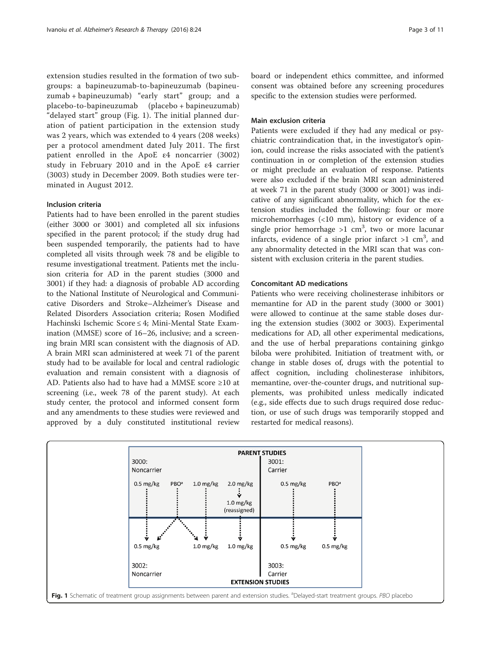extension studies resulted in the formation of two subgroups: a bapineuzumab-to-bapineuzumab (bapineuzumab + bapineuzumab) "early start" group; and a placebo-to-bapineuzumab (placebo + bapineuzumab) "delayed start" group (Fig. 1). The initial planned duration of patient participation in the extension study was 2 years, which was extended to 4 years (208 weeks) per a protocol amendment dated July 2011. The first patient enrolled in the ApoE ε4 noncarrier (3002) study in February 2010 and in the ApoE ε4 carrier (3003) study in December 2009. Both studies were terminated in August 2012.

#### Inclusion criteria

Patients had to have been enrolled in the parent studies (either 3000 or 3001) and completed all six infusions specified in the parent protocol; if the study drug had been suspended temporarily, the patients had to have completed all visits through week 78 and be eligible to resume investigational treatment. Patients met the inclusion criteria for AD in the parent studies (3000 and 3001) if they had: a diagnosis of probable AD according to the National Institute of Neurological and Communicative Disorders and Stroke–Alzheimer's Disease and Related Disorders Association criteria; Rosen Modified Hachinski Ischemic Score ≤ 4; Mini-Mental State Examination (MMSE) score of 16–26, inclusive; and a screening brain MRI scan consistent with the diagnosis of AD. A brain MRI scan administered at week 71 of the parent study had to be available for local and central radiologic evaluation and remain consistent with a diagnosis of AD. Patients also had to have had a MMSE score ≥10 at screening (i.e., week 78 of the parent study). At each study center, the protocol and informed consent form and any amendments to these studies were reviewed and approved by a duly constituted institutional review board or independent ethics committee, and informed consent was obtained before any screening procedures specific to the extension studies were performed.

#### Main exclusion criteria

Patients were excluded if they had any medical or psychiatric contraindication that, in the investigator's opinion, could increase the risks associated with the patient's continuation in or completion of the extension studies or might preclude an evaluation of response. Patients were also excluded if the brain MRI scan administered at week 71 in the parent study (3000 or 3001) was indicative of any significant abnormality, which for the extension studies included the following: four or more microhemorrhages (<10 mm), history or evidence of a single prior hemorrhage  $>1$  cm<sup>3</sup>, two or more lacunar infarcts, evidence of a single prior infarct  $>1$  cm<sup>3</sup>, and any abnormality detected in the MRI scan that was consistent with exclusion criteria in the parent studies.

#### Concomitant AD medications

Patients who were receiving cholinesterase inhibitors or memantine for AD in the parent study (3000 or 3001) were allowed to continue at the same stable doses during the extension studies (3002 or 3003). Experimental medications for AD, all other experimental medications, and the use of herbal preparations containing ginkgo biloba were prohibited. Initiation of treatment with, or change in stable doses of, drugs with the potential to affect cognition, including cholinesterase inhibitors, memantine, over-the-counter drugs, and nutritional supplements, was prohibited unless medically indicated (e.g., side effects due to such drugs required dose reduction, or use of such drugs was temporarily stopped and restarted for medical reasons).

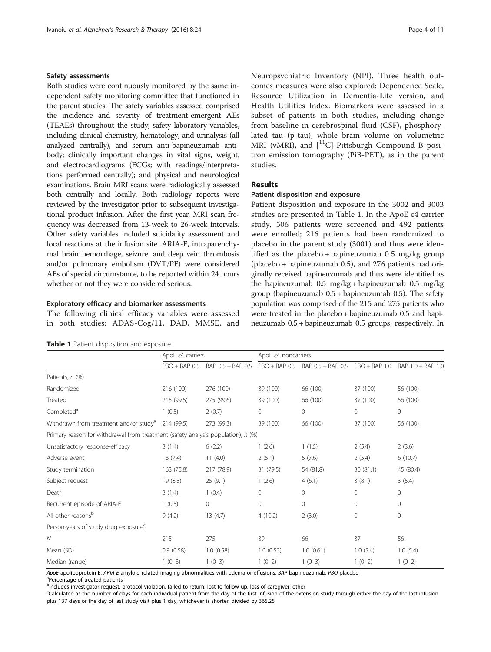#### Safety assessments

Both studies were continuously monitored by the same independent safety monitoring committee that functioned in the parent studies. The safety variables assessed comprised the incidence and severity of treatment-emergent AEs (TEAEs) throughout the study; safety laboratory variables, including clinical chemistry, hematology, and urinalysis (all analyzed centrally), and serum anti-bapineuzumab antibody; clinically important changes in vital signs, weight, and electrocardiograms (ECGs; with readings/interpretations performed centrally); and physical and neurological examinations. Brain MRI scans were radiologically assessed both centrally and locally. Both radiology reports were reviewed by the investigator prior to subsequent investigational product infusion. After the first year, MRI scan frequency was decreased from 13-week to 26-week intervals. Other safety variables included suicidality assessment and local reactions at the infusion site. ARIA-E, intraparenchymal brain hemorrhage, seizure, and deep vein thrombosis and/or pulmonary embolism (DVT/PE) were considered AEs of special circumstance, to be reported within 24 hours whether or not they were considered serious.

#### Exploratory efficacy and biomarker assessments

The following clinical efficacy variables were assessed in both studies: ADAS-Cog/11, DAD, MMSE, and

|  |  | Table 1 Patient disposition and exposure |
|--|--|------------------------------------------|
|--|--|------------------------------------------|

Neuropsychiatric Inventory (NPI). Three health outcomes measures were also explored: Dependence Scale, Resource Utilization in Dementia-Lite version, and Health Utilities Index. Biomarkers were assessed in a subset of patients in both studies, including change from baseline in cerebrospinal fluid (CSF), phosphorylated tau (p-tau), whole brain volume on volumetric MRI (vMRI), and  $[$ <sup>11</sup>C]-Pittsburgh Compound B positron emission tomography (PiB-PET), as in the parent studies.

#### Results

#### Patient disposition and exposure

Patient disposition and exposure in the 3002 and 3003 studies are presented in Table 1. In the ApoE ε4 carrier study, 506 patients were screened and 492 patients were enrolled; 216 patients had been randomized to placebo in the parent study (3001) and thus were identified as the placebo + bapineuzumab 0.5 mg/kg group (placebo + bapineuzumab 0.5), and 276 patients had originally received bapineuzumab and thus were identified as the bapineuzumab 0.5 mg/kg + bapineuzumab 0.5 mg/kg group (bapineuzumab 0.5 + bapineuzumab 0.5). The safety population was comprised of the 215 and 275 patients who were treated in the placebo + bapineuzumab 0.5 and bapineuzumab 0.5 + bapineuzumab 0.5 groups, respectively. In

|                                                                                  | ApoE ε4 carriers |                   | ApoE ε4 noncarriers |                   |                 |                   |
|----------------------------------------------------------------------------------|------------------|-------------------|---------------------|-------------------|-----------------|-------------------|
|                                                                                  | $PBO + BAP$ 0.5  | BAP 0.5 + BAP 0.5 | $PBO + BAP 0.5$     | BAP 0.5 + BAP 0.5 | $PBO + BAP 1.0$ | BAP 1.0 + BAP 1.0 |
| Patients, n (%)                                                                  |                  |                   |                     |                   |                 |                   |
| Randomized                                                                       | 216 (100)        | 276 (100)         | 39 (100)            | 66 (100)          | 37 (100)        | 56 (100)          |
| Treated                                                                          | 215 (99.5)       | 275 (99.6)        | 39 (100)            | 66 (100)          | 37 (100)        | 56 (100)          |
| Completed <sup>a</sup>                                                           | 1(0.5)           | 2(0.7)            | 0                   | 0                 | 0               | 0                 |
| Withdrawn from treatment and/or study <sup>a</sup>                               | 214 (99.5)       | 273 (99.3)        | 39 (100)            | 66 (100)          | 37 (100)        | 56 (100)          |
| Primary reason for withdrawal from treatment (safety analysis population), n (%) |                  |                   |                     |                   |                 |                   |
| Unsatisfactory response-efficacy                                                 | 3(1.4)           | 6(2.2)            | 1(2.6)              | 1(1.5)            | 2(5.4)          | 2(3.6)            |
| Adverse event                                                                    | 16(7.4)          | 11(4.0)           | 2(5.1)              | 5(7.6)            | 2(5.4)          | 6(10.7)           |
| Study termination                                                                | 163 (75.8)       | 217 (78.9)        | 31 (79.5)           | 54 (81.8)         | 30(81.1)        | 45 (80.4)         |
| Subject request                                                                  | 19 (8.8)         | 25(9.1)           | 1(2.6)              | 4(6.1)            | 3(8.1)          | 3(5.4)            |
| Death                                                                            | 3(1.4)           | 1(0.4)            | 0                   | $\mathbf{0}$      | $\mathbf{0}$    | $\circ$           |
| Recurrent episode of ARIA-E                                                      | 1(0.5)           | $\mathbf{0}$      | 0                   | $\mathbf{0}$      | $\mathbf{0}$    | $\mathbf{0}$      |
| All other reasons <sup>b</sup>                                                   | 9(4.2)           | 13(4.7)           | 4(10.2)             | 2(3.0)            | $\mathbf 0$     | $\mathbf{0}$      |
| Person-years of study drug exposure <sup>c</sup>                                 |                  |                   |                     |                   |                 |                   |
| $\mathcal N$                                                                     | 215              | 275               | 39                  | 66                | 37              | 56                |
| Mean (SD)                                                                        | 0.9(0.58)        | 1.0(0.58)         | 1.0(0.53)           | 1.0(0.61)         | 1.0(5.4)        | 1.0(5.4)          |
| Median (range)                                                                   | $1(0-3)$         | $1(0-3)$          | $1(0-2)$            | $1(0-3)$          | $1(0-2)$        | $1(0-2)$          |

ApoE apolipoprotein E, ARIA-E amyloid-related imaging abnormalities with edema or effusions, BAP bapineuzumab, PBO placebo

Percentage of treated patients

bIncludes investigator request, protocol violation, failed to return, lost to follow-up, loss of caregiver, other

<sup>c</sup>Calculated as the number of days for each individual patient from the day of the first infusion of the extension study through either the day of the last infusion plus 137 days or the day of last study visit plus 1 day, whichever is shorter, divided by 365.25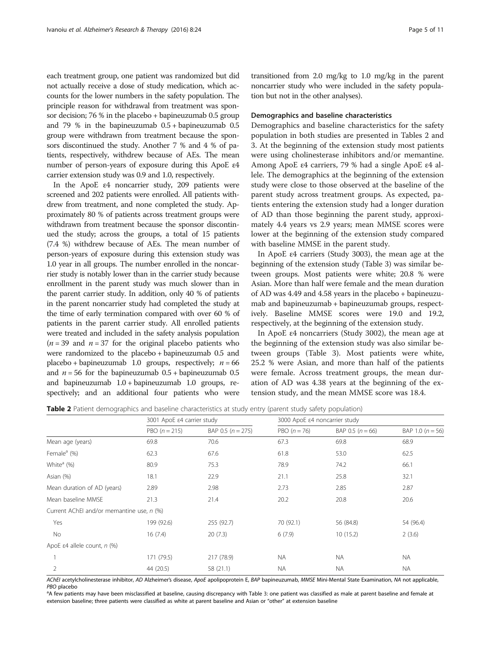<span id="page-4-0"></span>each treatment group, one patient was randomized but did not actually receive a dose of study medication, which accounts for the lower numbers in the safety population. The principle reason for withdrawal from treatment was sponsor decision; 76 % in the placebo + bapineuzumab 0.5 group and 79 % in the bapineuzumab 0.5 + bapineuzumab 0.5 group were withdrawn from treatment because the sponsors discontinued the study. Another 7 % and 4 % of patients, respectively, withdrew because of AEs. The mean number of person-years of exposure during this ApoE ε4 carrier extension study was 0.9 and 1.0, respectively.

In the ApoE ε4 noncarrier study, 209 patients were screened and 202 patients were enrolled. All patients withdrew from treatment, and none completed the study. Approximately 80 % of patients across treatment groups were withdrawn from treatment because the sponsor discontinued the study; across the groups, a total of 15 patients (7.4 %) withdrew because of AEs. The mean number of person-years of exposure during this extension study was 1.0 year in all groups. The number enrolled in the noncarrier study is notably lower than in the carrier study because enrollment in the parent study was much slower than in the parent carrier study. In addition, only 40 % of patients in the parent noncarrier study had completed the study at the time of early termination compared with over 60 % of patients in the parent carrier study. All enrolled patients were treated and included in the safety analysis population  $(n = 39$  and  $n = 37$  for the original placebo patients who were randomized to the placebo + bapineuzumab 0.5 and placebo + bapineuzumab 1.0 groups, respectively;  $n = 66$ and  $n = 56$  for the bapineuzumab  $0.5 +$  bapineuzumab  $0.5$ and bapineuzumab  $1.0 +$  bapineuzumab  $1.0$  groups, respectively; and an additional four patients who were

transitioned from 2.0 mg/kg to 1.0 mg/kg in the parent noncarrier study who were included in the safety population but not in the other analyses).

#### Demographics and baseline characteristics

Demographics and baseline characteristics for the safety population in both studies are presented in Tables 2 and [3.](#page-5-0) At the beginning of the extension study most patients were using cholinesterase inhibitors and/or memantine. Among ApoE ε4 carriers, 79 % had a single ApoE ε4 allele. The demographics at the beginning of the extension study were close to those observed at the baseline of the parent study across treatment groups. As expected, patients entering the extension study had a longer duration of AD than those beginning the parent study, approximately 4.4 years vs 2.9 years; mean MMSE scores were lower at the beginning of the extension study compared with baseline MMSE in the parent study.

In ApoE ε4 carriers (Study 3003), the mean age at the beginning of the extension study (Table [3\)](#page-5-0) was similar between groups. Most patients were white; 20.8 % were Asian. More than half were female and the mean duration of AD was 4.49 and 4.58 years in the placebo + bapineuzumab and bapineuzumab + bapineuzumab groups, respectively. Baseline MMSE scores were 19.0 and 19.2, respectively, at the beginning of the extension study.

In ApoE ε4 noncarriers (Study 3002), the mean age at the beginning of the extension study was also similar between groups (Table [3](#page-5-0)). Most patients were white, 25.2 % were Asian, and more than half of the patients were female. Across treatment groups, the mean duration of AD was 4.38 years at the beginning of the extension study, and the mean MMSE score was 18.4.

Table 2 Patient demographics and baseline characteristics at study entry (parent study safety population)

|                                           | 3001 ApoE ε4 carrier study |                       |              | 3000 ApoE $\epsilon$ 4 noncarrier study |                    |
|-------------------------------------------|----------------------------|-----------------------|--------------|-----------------------------------------|--------------------|
|                                           | PBO $(n = 215)$            | BAP 0.5 ( $n = 275$ ) | PBO $(n=76)$ | BAP 0.5 $(n = 66)$                      | BAP 1.0 $(n = 56)$ |
| Mean age (years)                          | 69.8                       | 70.6                  | 67.3         | 69.8                                    | 68.9               |
| Female <sup>a</sup> (%)                   | 62.3                       | 67.6                  | 61.8         | 53.0                                    | 62.5               |
| White <sup>a</sup> (%)                    | 80.9                       | 75.3                  | 78.9         | 74.2                                    | 66.1               |
| Asian (%)                                 | 18.1                       | 22.9                  | 21.1         | 25.8                                    | 32.1               |
| Mean duration of AD (years)               | 2.89                       | 2.98                  | 2.73         | 2.85                                    | 2.87               |
| Mean baseline MMSE                        | 21.3                       | 21.4                  | 20.2         | 20.8                                    | 20.6               |
| Current AChEI and/or memantine use, n (%) |                            |                       |              |                                         |                    |
| Yes                                       | 199 (92.6)                 | 255 (92.7)            | 70 (92.1)    | 56 (84.8)                               | 54 (96.4)          |
| No                                        | 16(7.4)                    | 20(7.3)               | 6(7.9)       | 10(15.2)                                | 2(3.6)             |
| ApoE ε4 allele count, $n$ (%)             |                            |                       |              |                                         |                    |
|                                           | 171 (79.5)                 | 217 (78.9)            | <b>NA</b>    | <b>NA</b>                               | NA.                |
| 2                                         | 44 (20.5)                  | 58 (21.1)             | <b>NA</b>    | <b>NA</b>                               | <b>NA</b>          |

AChEI acetylcholinesterase inhibitor, AD Alzheimer's disease, ApoE apolipoprotein E, BAP bapineuzumab, MMSE Mini-Mental State Examination, NA not applicable, PBO placebo

<sup>a</sup>A few patients may have been misclassified at baseline, causing discrepancy with Table [3:](#page-5-0) one patient was classified as male at parent baseline and female at extension baseline; three patients were classified as white at parent baseline and Asian or "other" at extension baseline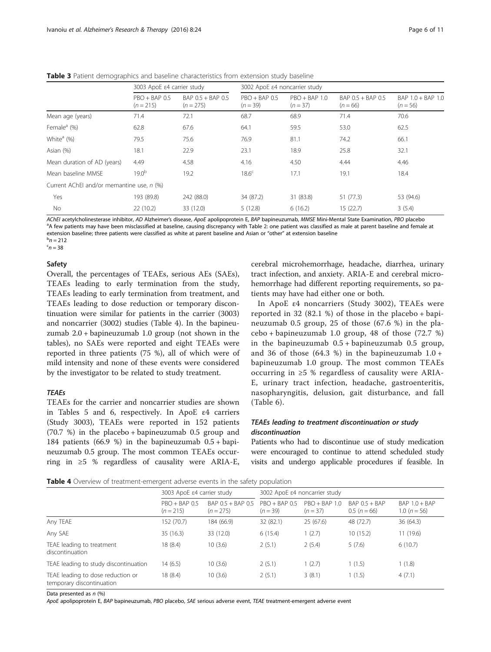|                                           | 3003 ApoE $\epsilon$ 4 carrier study |                                    | 3002 ApoE $\varepsilon$ 4 noncarrier study |                             |                                   |                                 |
|-------------------------------------------|--------------------------------------|------------------------------------|--------------------------------------------|-----------------------------|-----------------------------------|---------------------------------|
|                                           | $PBO + BAP 0.5$<br>$(n = 215)$       | $BAP$ 0.5 + BAP 0.5<br>$(n = 275)$ | $PRO + BAP 0.5$<br>$(n = 39)$              | $PRO + BAP 1.0$<br>$(n=37)$ | BAP $0.5 + BAP$ 0.5<br>$(n = 66)$ | BAP 1.0 + BAP 1.0<br>$(n = 56)$ |
| Mean age (years)                          | 71.4                                 | 72.1                               | 68.7                                       | 68.9                        | 71.4                              | 70.6                            |
| Female <sup>a</sup> (%)                   | 62.8                                 | 67.6                               | 64.1                                       | 59.5                        | 53.0                              | 62.5                            |
| White <sup>a</sup> (%)                    | 79.5                                 | 75.6                               | 76.9                                       | 81.1                        | 74.2                              | 66.1                            |
| Asian (%)                                 | 18.1                                 | 22.9                               | 23.1                                       | 18.9                        | 25.8                              | 32.1                            |
| Mean duration of AD (years)               | 4.49                                 | 4.58                               | 4.16                                       | 4.50                        | 4.44                              | 4.46                            |
| Mean baseline MMSF                        | 19.0 <sup>b</sup>                    | 19.2                               | 18.6 <sup>c</sup>                          | 17.1                        | 19.1                              | 18.4                            |
| Current AChEI and/or memantine use, n (%) |                                      |                                    |                                            |                             |                                   |                                 |
| Yes                                       | 193 (89.8)                           | 242 (88.0)                         | 34 (87.2)                                  | 31 (83.8)                   | 51 (77.3)                         | 53 (94.6)                       |
| <b>No</b>                                 | 22(10.2)                             | 33 (12.0)                          | 5(12.8)                                    | 6(16.2)                     | 15(22.7)                          | 3(5.4)                          |

<span id="page-5-0"></span>Table 3 Patient demographics and baseline characteristics from extension study baseline

AChEI acetylcholinesterase inhibitor, AD Alzheimer's disease, ApoE apolipoprotein E, BAP bapineuzumab, MMSE Mini-Mental State Examination, PBO placebo <sup>a</sup> <sup>a</sup>A few patients may have been misclassified at baseline, causing discrepancy with Table [2:](#page-4-0) one patient was classified as male at parent baseline and female at extension baseline; three patients were classified as white at parent baseline and Asian or "other" at extension baseline  $b_n = 212$ 

 $n = 38$ 

#### Safety

Overall, the percentages of TEAEs, serious AEs (SAEs), TEAEs leading to early termination from the study, TEAEs leading to early termination from treatment, and TEAEs leading to dose reduction or temporary discontinuation were similar for patients in the carrier (3003) and noncarrier (3002) studies (Table 4). In the bapineuzumab 2.0 + bapineuzumab 1.0 group (not shown in the tables), no SAEs were reported and eight TEAEs were reported in three patients (75 %), all of which were of mild intensity and none of these events were considered by the investigator to be related to study treatment.

#### **TFAFs**

TEAEs for the carrier and noncarrier studies are shown in Tables [5](#page-6-0) and [6,](#page-6-0) respectively. In ApoE ε4 carriers (Study 3003), TEAEs were reported in 152 patients (70.7 %) in the placebo + bapineuzumab 0.5 group and 184 patients (66.9 %) in the bapineuzumab 0.5 + bapineuzumab 0.5 group. The most common TEAEs occurring in ≥5 % regardless of causality were ARIA-E, cerebral microhemorrhage, headache, diarrhea, urinary tract infection, and anxiety. ARIA-E and cerebral microhemorrhage had different reporting requirements, so patients may have had either one or both.

In ApoE ε4 noncarriers (Study 3002), TEAEs were reported in 32 (82.1 %) of those in the placebo + bapineuzumab 0.5 group, 25 of those (67.6 %) in the placebo + bapineuzumab 1.0 group, 48 of those (72.7 %) in the bapineuzumab 0.5 + bapineuzumab 0.5 group, and 36 of those (64.3 %) in the bapineuzumab  $1.0 +$ bapineuzumab 1.0 group. The most common TEAEs occurring in ≥5 % regardless of causality were ARIA-E, urinary tract infection, headache, gastroenteritis, nasopharyngitis, delusion, gait disturbance, and fall (Table [6](#page-6-0)).

#### TEAEs leading to treatment discontinuation or study discontinuation

Patients who had to discontinue use of study medication were encouraged to continue to attend scheduled study visits and undergo applicable procedures if feasible. In

Table 4 Overview of treatment-emergent adverse events in the safety population

|                                                                | 3003 ApoE ε4 carrier study     |                                  |                               | 3002 ApoE $\varepsilon$ 4 noncarrier study |                                  |                                       |
|----------------------------------------------------------------|--------------------------------|----------------------------------|-------------------------------|--------------------------------------------|----------------------------------|---------------------------------------|
|                                                                | $PRO + BAP$ 0.5<br>$(n = 215)$ | BAP 0.5 + BAP 0.5<br>$(n = 275)$ | $PRO + BAP 0.5$<br>$(n = 39)$ | $PRO + BAP 1.0$<br>$(n = 37)$              | $BAP$ $0.5 + BAP$<br>$0.5(n=66)$ | $BAP$ 1.0 + $BAP$<br>1.0 ( $n = 56$ ) |
| Any TEAE                                                       | 152 (70.7)                     | 184 (66.9)                       | 32 (82.1)                     | 25(67.6)                                   | 48 (72.7)                        | 36(64.3)                              |
| Any SAE                                                        | 35(16.3)                       | 33 (12.0)                        | 6(15.4)                       | 1(2.7)                                     | 10(15.2)                         | 11(19.6)                              |
| TEAE leading to treatment<br>discontinuation                   | 18 (8.4)                       | 10(3.6)                          | 2(5.1)                        | 2(5.4)                                     | 5(7.6)                           | 6(10.7)                               |
| TEAE leading to study discontinuation                          | 14(6.5)                        | 10(3.6)                          | 2(5.1)                        | 1(2.7)                                     | 1(1.5)                           | 1(1.8)                                |
| TEAE leading to dose reduction or<br>temporary discontinuation | 18(8.4)                        | 10(3.6)                          | 2(5.1)                        | 3(8.1)                                     | 1(1.5)                           | 4(7.1)                                |

Data presented as n (%)

ApoE apolipoprotein E, BAP bapineuzumab, PBO placebo, SAE serious adverse event, TEAE treatment-emergent adverse event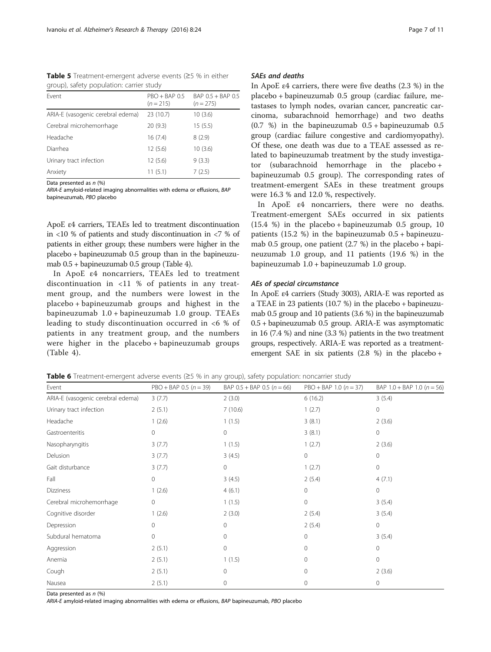<span id="page-6-0"></span>Table 5 Treatment-emergent adverse events ( $\geq$ 5 % in either group), safety population: carrier study

| Event                             | $PRO + BAP 0.5$ | BAP 0.5 + BAP 0.5 |
|-----------------------------------|-----------------|-------------------|
|                                   | $(n = 215)$     | $(n = 275)$       |
| ARIA-E (vasogenic cerebral edema) | 23 (10.7)       | 10(3.6)           |
| Cerebral microhemorrhage          | 20(9.3)         | 15(5.5)           |
| Headache                          | 16(7.4)         | 8(2.9)            |
| Diarrhea                          | 12(5.6)         | 10(3.6)           |
| Urinary tract infection           | 12(5.6)         | 9(3.3)            |
| Anxiety                           | 11(5.1)         | 7(2.5)            |

Data presented as n (%)

ARIA-E amyloid-related imaging abnormalities with edema or effusions, BAP bapineuzumab, PBO placebo

ApoE ε4 carriers, TEAEs led to treatment discontinuation in <10 % of patients and study discontinuation in <7 % of patients in either group; these numbers were higher in the placebo + bapineuzumab 0.5 group than in the bapineuzumab 0.5 + bapineuzumab 0.5 group (Table [4\)](#page-5-0).

In ApoE ε4 noncarriers, TEAEs led to treatment discontinuation in <11 % of patients in any treatment group, and the numbers were lowest in the placebo + bapineuzumab groups and highest in the bapineuzumab 1.0 + bapineuzumab 1.0 group. TEAEs leading to study discontinuation occurred in <6 % of patients in any treatment group, and the numbers were higher in the placebo + bapineuzumab groups (Table [4](#page-5-0)).

#### SAEs and deaths

In ApoE ε4 carriers, there were five deaths (2.3 %) in the placebo + bapineuzumab 0.5 group (cardiac failure, metastases to lymph nodes, ovarian cancer, pancreatic carcinoma, subarachnoid hemorrhage) and two deaths (0.7 %) in the bapineuzumab 0.5 + bapineuzumab 0.5 group (cardiac failure congestive and cardiomyopathy). Of these, one death was due to a TEAE assessed as related to bapineuzumab treatment by the study investigator (subarachnoid hemorrhage in the placebo + bapineuzumab 0.5 group). The corresponding rates of treatment-emergent SAEs in these treatment groups were 16.3 % and 12.0 %, respectively.

In ApoE ε4 noncarriers, there were no deaths. Treatment-emergent SAEs occurred in six patients (15.4 %) in the placebo + bapineuzumab 0.5 group, 10 patients (15.2 %) in the bapineuzumab 0.5 + bapineuzumab 0.5 group, one patient (2.7 %) in the placebo + bapineuzumab 1.0 group, and 11 patients (19.6 %) in the bapineuzumab 1.0 + bapineuzumab 1.0 group.

#### AEs of special circumstance

In ApoE ε4 carriers (Study 3003), ARIA-E was reported as a TEAE in 23 patients (10.7 %) in the placebo + bapineuzumab 0.5 group and 10 patients (3.6 %) in the bapineuzumab 0.5 + bapineuzumab 0.5 group. ARIA-E was asymptomatic in 16 (7.4 %) and nine (3.3 %) patients in the two treatment groups, respectively. ARIA-E was reported as a treatmentemergent SAE in six patients  $(2.8 \%)$  in the placebo +

| Event                             | $PBO + BAP 0.5 (n = 39)$ | BAP $0.5 + BAP$ 0.5 ( $n = 66$ ) | $PBO + BAP 1.0 (n = 37)$ | BAP $1.0 + BAP$ 1.0 ( $n = 56$ ) |
|-----------------------------------|--------------------------|----------------------------------|--------------------------|----------------------------------|
| ARIA-E (vasogenic cerebral edema) | 3(7.7)                   | 2(3.0)                           | 6(16.2)                  | 3(5.4)                           |
| Urinary tract infection           | 2(5.1)                   | 7(10.6)                          | 1(2.7)                   | 0                                |
| Headache                          | 1(2.6)                   | 1(1.5)                           | 3(8.1)                   | 2(3.6)                           |
| Gastroenteritis                   | 0                        | 0                                | 3(8.1)                   | 0                                |
| Nasopharyngitis                   | 3(7.7)                   | 1(1.5)                           | 1(2.7)                   | 2(3.6)                           |
| Delusion                          | 3(7.7)                   | 3(4.5)                           | $\Omega$                 | $\mathbf{0}$                     |
| Gait disturbance                  | 3(7.7)                   | 0                                | 1(2.7)                   | $\mathbf{0}$                     |
| Fall                              | 0                        | 3(4.5)                           | 2(5.4)                   | 4(7.1)                           |
| Dizziness                         | 1(2.6)                   | 4(6.1)                           | 0                        | 0                                |
| Cerebral microhemorrhage          | 0                        | 1(1.5)                           | $\circ$                  | 3(5.4)                           |
| Cognitive disorder                | 1(2.6)                   | 2(3.0)                           | 2(5.4)                   | 3(5.4)                           |
| Depression                        | 0                        | 0                                | 2(5.4)                   | 0                                |
| Subdural hematoma                 | $\circ$                  | $\Omega$                         | 0                        | 3(5.4)                           |
| Aggression                        | 2(5.1)                   | 0                                | 0                        | $\mathbf{0}$                     |
| Anemia                            | 2(5.1)                   | 1(1.5)                           | $\Omega$                 | $\mathbf{0}$                     |
| Cough                             | 2(5.1)                   | $\Omega$                         | $\Omega$                 | 2(3.6)                           |
| Nausea                            | 2(5.1)                   | 0                                | 0                        | $\mathbf{0}$                     |

Table 6 Treatment-emergent adverse events (≥5 % in any group), safety population: noncarrier study

Data presented as n (%)

ARIA-E amyloid-related imaging abnormalities with edema or effusions, BAP bapineuzumab, PBO placebo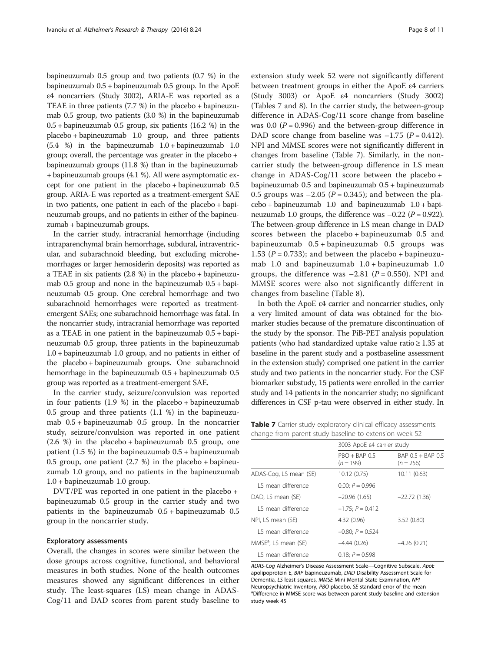bapineuzumab 0.5 group and two patients (0.7 %) in the bapineuzumab  $0.5 +$  bapineuzumab  $0.5$  group. In the ApoE ε4 noncarriers (Study 3002), ARIA-E was reported as a TEAE in three patients (7.7 %) in the placebo + bapineuzumab 0.5 group, two patients (3.0 %) in the bapineuzumab 0.5 + bapineuzumab 0.5 group, six patients (16.2 %) in the placebo + bapineuzumab 1.0 group, and three patients  $(5.4 \%)$  in the bapineuzumab  $1.0 +$  bapineuzumab  $1.0$ group; overall, the percentage was greater in the placebo + bapineuzumab groups (11.8 %) than in the bapineuzumab + bapineuzumab groups (4.1 %). All were asymptomatic except for one patient in the placebo + bapineuzumab 0.5 group. ARIA-E was reported as a treatment-emergent SAE in two patients, one patient in each of the placebo + bapineuzumab groups, and no patients in either of the bapineuzumab + bapineuzumab groups.

In the carrier study, intracranial hemorrhage (including intraparenchymal brain hemorrhage, subdural, intraventricular, and subarachnoid bleeding, but excluding microhemorrhages or larger hemosiderin deposits) was reported as a TEAE in six patients (2.8 %) in the placebo + bapineuzumab 0.5 group and none in the bapineuzumab 0.5 + bapineuzumab 0.5 group. One cerebral hemorrhage and two subarachnoid hemorrhages were reported as treatmentemergent SAEs; one subarachnoid hemorrhage was fatal. In the noncarrier study, intracranial hemorrhage was reported as a TEAE in one patient in the bapineuzumab 0.5 + bapineuzumab 0.5 group, three patients in the bapineuzumab 1.0 + bapineuzumab 1.0 group, and no patients in either of the placebo + bapineuzumab groups. One subarachnoid hemorrhage in the bapineuzumab 0.5 + bapineuzumab 0.5 group was reported as a treatment-emergent SAE.

In the carrier study, seizure/convulsion was reported in four patients (1.9 %) in the placebo + bapineuzumab 0.5 group and three patients (1.1 %) in the bapineuzumab 0.5 + bapineuzumab 0.5 group. In the noncarrier study, seizure/convulsion was reported in one patient (2.6 %) in the placebo + bapineuzumab 0.5 group, one patient  $(1.5 \%)$  in the bapineuzumab  $0.5 + b$ apineuzumab 0.5 group, one patient (2.7 %) in the placebo + bapineuzumab 1.0 group, and no patients in the bapineuzumab 1.0 + bapineuzumab 1.0 group.

DVT/PE was reported in one patient in the placebo + bapineuzumab 0.5 group in the carrier study and two patients in the bapineuzumab 0.5 + bapineuzumab 0.5 group in the noncarrier study.

#### Exploratory assessments

Overall, the changes in scores were similar between the dose groups across cognitive, functional, and behavioral measures in both studies. None of the health outcomes measures showed any significant differences in either study. The least-squares (LS) mean change in ADAS-Cog/11 and DAD scores from parent study baseline to

extension study week 52 were not significantly different between treatment groups in either the ApoE ε4 carriers (Study 3003) or ApoE ε4 noncarriers (Study 3002) (Tables 7 and [8\)](#page-8-0). In the carrier study, the between-group difference in ADAS-Cog/11 score change from baseline was 0.0 ( $P = 0.996$ ) and the between-group difference in DAD score change from baseline was  $-1.75$  ( $P = 0.412$ ). NPI and MMSE scores were not significantly different in changes from baseline (Table 7). Similarly, in the noncarrier study the between-group difference in LS mean change in ADAS-Cog/11 score between the placebo + bapineuzumab 0.5 and bapineuzumab 0.5 + bapineuzumab 0.5 groups was  $-2.05$  ( $P = 0.345$ ); and between the placebo + bapineuzumab 1.0 and bapineuzumab 1.0 + bapineuzumab 1.0 groups, the difference was  $-0.22$  ( $P = 0.922$ ). The between-group difference in LS mean change in DAD scores between the placebo + bapineuzumab 0.5 and bapineuzumab 0.5 + bapineuzumab 0.5 groups was 1.53 ( $P = 0.733$ ); and between the placebo + bapineuzumab 1.0 and bapineuzumab 1.0 + bapineuzumab 1.0 groups, the difference was  $-2.81$  ( $P = 0.550$ ). NPI and MMSE scores were also not significantly different in changes from baseline (Table [8\)](#page-8-0).

In both the ApoE ε4 carrier and noncarrier studies, only a very limited amount of data was obtained for the biomarker studies because of the premature discontinuation of the study by the sponsor. The PiB-PET analysis population patients (who had standardized uptake value ratio  $\geq 1.35$  at baseline in the parent study and a postbaseline assessment in the extension study) comprised one patient in the carrier study and two patients in the noncarrier study. For the CSF biomarker substudy, 15 patients were enrolled in the carrier study and 14 patients in the noncarrier study; no significant differences in CSF p-tau were observed in either study. In

Table 7 Carrier study exploratory clinical efficacy assessments: change from parent study baseline to extension week 52

|                                  |                                | 3003 ApoE $\varepsilon$ 4 carrier study |  |  |
|----------------------------------|--------------------------------|-----------------------------------------|--|--|
|                                  | $PRO + BAP 0.5$<br>$(n = 199)$ | BAP 0.5 + BAP 0.5<br>$(n = 256)$        |  |  |
| ADAS-Cog, LS mean (SE)           | 10.12 (0.75)                   | 10.11(0.63)                             |  |  |
| IS mean difference               | 0.00; $P = 0.996$              |                                         |  |  |
| DAD, LS mean (SE)                | $-20.96(1.65)$                 | $-22.72(1.36)$                          |  |  |
| 1.5 mean difference              | $-1.75$ : $P = 0.412$          |                                         |  |  |
| NPI, LS mean (SE)                | 4.32(0.96)                     | 3.52(0.80)                              |  |  |
| IS mean difference               | $-0.80; P = 0.524$             |                                         |  |  |
| MMSE <sup>a</sup> , LS mean (SE) | $-4.44(0.26)$                  | $-4.26(0.21)$                           |  |  |
| 1.5 mean difference              | $0.18: P = 0.598$              |                                         |  |  |

ADAS-Cog Alzheimer's Disease Assessment Scale—Cognitive Subscale, ApoE apolipoprotein E, BAP bapineuzumab, DAD Disability Assessment Scale for Dementia, LS least squares, MMSE Mini-Mental State Examination, NPI Neuropsychiatric Inventory, PBO placebo, SE standard error of the mean <sup>a</sup>Difference in MMSE score was between parent study baseline and extension study week 45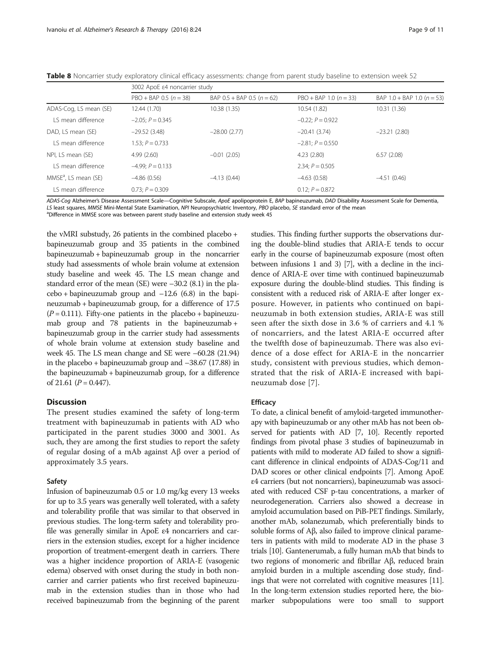|                                  | 3002 ApoE $\varepsilon$ 4 noncarrier study |                                  |                          |                              |  |
|----------------------------------|--------------------------------------------|----------------------------------|--------------------------|------------------------------|--|
|                                  | $PBO + BAP 0.5 (n = 38)$                   | BAP $0.5 + BAP$ 0.5 ( $n = 62$ ) | $PBO + BAP 1.0 (n = 33)$ | BAP $1.0 + BAP$ 1.0 (n = 53) |  |
| ADAS-Cog, LS mean (SE)           | 12.44 (1.70)                               | 10.38 (1.35)                     | 10.54 (1.82)             | 10.31 (1.36)                 |  |
| 1.5 mean difference              | $-2.05$ ; $P = 0.345$                      |                                  | $-0.22; P = 0.922$       |                              |  |
| DAD, LS mean (SE)                | $-29.52(3.48)$                             | $-28.00(2.77)$                   | $-20.41(3.74)$           | $-23.21(2.80)$               |  |
| 1.5 mean difference              | 1.53; $P = 0.733$                          |                                  | $-2.81; P = 0.550$       |                              |  |
| NPI, LS mean (SE)                | 4.99(2.60)                                 | $-0.01(2.05)$                    | 4.23(2.80)               | 6.57(2.08)                   |  |
| 1.5 mean difference              | $-4.99; P = 0.133$                         |                                  | 2.34; $P = 0.505$        |                              |  |
| MMSE <sup>a</sup> , LS mean (SE) | $-4.86(0.56)$                              | $-4.13(0.44)$                    | $-4.63(0.58)$            | $-4.51(0.46)$                |  |
| LS mean difference               | $0.73: P = 0.309$                          |                                  | $0.12: P = 0.872$        |                              |  |

<span id="page-8-0"></span>Table 8 Noncarrier study exploratory clinical efficacy assessments: change from parent study baseline to extension week 52

ADAS-Cog Alzheimer's Disease Assessment Scale—Cognitive Subscale, ApoE apolipoprotein E, BAP bapineuzumab, DAD Disability Assessment Scale for Dementia, LS least squares, MMSE Mini-Mental State Examination, NPI Neuropsychiatric Inventory, PBO placebo, SE standard error of the mean <sup>a</sup>Difference in MMSE score was between parent study baseline and extension study week 45

the vMRI substudy, 26 patients in the combined placebo + bapineuzumab group and 35 patients in the combined bapineuzumab + bapineuzumab group in the noncarrier study had assessments of whole brain volume at extension study baseline and week 45. The LS mean change and standard error of the mean (SE) were –30.2 (8.1) in the pla $cebo + b$ apineuzumab group and  $-12.6$  (6.8) in the bapineuzumab + bapineuzumab group, for a difference of 17.5  $(P = 0.111)$ . Fifty-one patients in the placebo + bapineuzumab group and 78 patients in the bapineuzumab + bapineuzumab group in the carrier study had assessments of whole brain volume at extension study baseline and week 45. The LS mean change and SE were –60.28 (21.94) in the placebo + bapineuzumab group and –38.67 (17.88) in the bapineuzumab + bapineuzumab group, for a difference of 21.61  $(P = 0.447)$ .

#### **Discussion**

The present studies examined the safety of long-term treatment with bapineuzumab in patients with AD who participated in the parent studies 3000 and 3001. As such, they are among the first studies to report the safety of regular dosing of a mAb against Aβ over a period of approximately 3.5 years.

#### Safety

Infusion of bapineuzumab 0.5 or 1.0 mg/kg every 13 weeks for up to 3.5 years was generally well tolerated, with a safety and tolerability profile that was similar to that observed in previous studies. The long-term safety and tolerability profile was generally similar in ApoE ε4 noncarriers and carriers in the extension studies, except for a higher incidence proportion of treatment-emergent death in carriers. There was a higher incidence proportion of ARIA-E (vasogenic edema) observed with onset during the study in both noncarrier and carrier patients who first received bapineuzumab in the extension studies than in those who had received bapineuzumab from the beginning of the parent

studies. This finding further supports the observations during the double-blind studies that ARIA-E tends to occur early in the course of bapineuzumab exposure (most often between infusions 1 and 3) [\[7](#page-10-0)], with a decline in the incidence of ARIA-E over time with continued bapineuzumab exposure during the double-blind studies. This finding is consistent with a reduced risk of ARIA-E after longer exposure. However, in patients who continued on bapineuzumab in both extension studies, ARIA-E was still seen after the sixth dose in 3.6 % of carriers and 4.1 % of noncarriers, and the latest ARIA-E occurred after the twelfth dose of bapineuzumab. There was also evidence of a dose effect for ARIA-E in the noncarrier study, consistent with previous studies, which demonstrated that the risk of ARIA-E increased with bapineuzumab dose [[7](#page-10-0)].

#### **Efficacy**

To date, a clinical benefit of amyloid-targeted immunotherapy with bapineuzumab or any other mAb has not been observed for patients with AD [[7](#page-10-0), [10](#page-10-0)]. Recently reported findings from pivotal phase 3 studies of bapineuzumab in patients with mild to moderate AD failed to show a significant difference in clinical endpoints of ADAS-Cog/11 and DAD scores or other clinical endpoints [[7\]](#page-10-0). Among ApoE ε4 carriers (but not noncarriers), bapineuzumab was associated with reduced CSF p-tau concentrations, a marker of neurodegeneration. Carriers also showed a decrease in amyloid accumulation based on PiB-PET findings. Similarly, another mAb, solanezumab, which preferentially binds to soluble forms of Aβ, also failed to improve clinical parameters in patients with mild to moderate AD in the phase 3 trials [\[10\]](#page-10-0). Gantenerumab, a fully human mAb that binds to two regions of monomeric and fibrillar Aβ, reduced brain amyloid burden in a multiple ascending dose study, findings that were not correlated with cognitive measures [\[11](#page-10-0)]. In the long-term extension studies reported here, the biomarker subpopulations were too small to support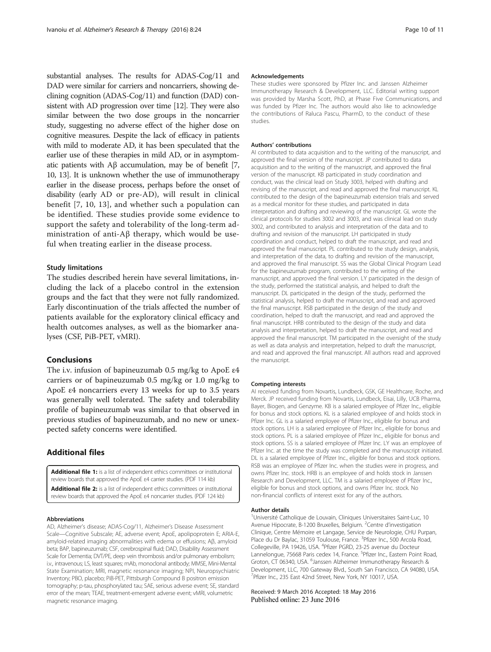<span id="page-9-0"></span>substantial analyses. The results for ADAS-Cog/11 and DAD were similar for carriers and noncarriers, showing declining cognition (ADAS-Cog/11) and function (DAD) consistent with AD progression over time [\[12\]](#page-10-0). They were also similar between the two dose groups in the noncarrier study, suggesting no adverse effect of the higher dose on cognitive measures. Despite the lack of efficacy in patients with mild to moderate AD, it has been speculated that the earlier use of these therapies in mild AD, or in asymptomatic patients with Aβ accumulation, may be of benefit [[7](#page-10-0), [10](#page-10-0), [13](#page-10-0)]. It is unknown whether the use of immunotherapy earlier in the disease process, perhaps before the onset of disability (early AD or pre-AD), will result in clinical benefit [[7, 10, 13\]](#page-10-0), and whether such a population can be identified. These studies provide some evidence to support the safety and tolerability of the long-term administration of anti-Aβ therapy, which would be useful when treating earlier in the disease process.

#### Study limitations

The studies described herein have several limitations, including the lack of a placebo control in the extension groups and the fact that they were not fully randomized. Early discontinuation of the trials affected the number of patients available for the exploratory clinical efficacy and health outcomes analyses, as well as the biomarker analyses (CSF, PiB-PET, vMRI).

#### **Conclusions**

The i.v. infusion of bapineuzumab 0.5 mg/kg to ApoE ε4 carriers or of bapineuzumab 0.5 mg/kg or 1.0 mg/kg to ApoE ε4 noncarriers every 13 weeks for up to 3.5 years was generally well tolerated. The safety and tolerability profile of bapineuzumab was similar to that observed in previous studies of bapineuzumab, and no new or unexpected safety concerns were identified.

#### Additional files

[Additional file 1:](dx.doi.org/10.1186/s13195-016-0193-y) is a list of independent ethics committees or institutional review boards that approved the ApoE ε4 carrier studies. (PDF 114 kb) [Additional file 2:](dx.doi.org/10.1186/s13195-016-0193-y) is a list of independent ethics committees or institutional review boards that approved the ApoE ε4 noncarrier studies. (PDF 124 kb)

#### Abbreviations

AD, Alzheimer's disease; ADAS-Cog/11, Alzheimer's Disease Assessment Scale—Cognitive Subscale; AE, adverse event; ApoE, apolipoprotein E; ARIA-E, amyloid-related imaging abnormalities with edema or effusions; Aβ, amyloid beta; BAP, bapineuzumab; CSF, cerebrospinal fluid; DAD, Disability Assessment Scale for Dementia; DVT/PE, deep vein thrombosis and/or pulmonary embolism; i.v., intravenous; LS, least squares; mAb, monoclonal antibody; MMSE, Mini-Mental State Examination; MRI, magnetic resonance imaging; NPI, Neuropsychiatric Inventory; PBO, placebo; PiB-PET, Pittsburgh Compound B positron emission tomography; p-tau, phosphorylated tau; SAE, serious adverse event; SE, standard error of the mean; TEAE, treatment-emergent adverse event; vMRI, volumetric magnetic resonance imaging.

#### Acknowledgements

These studies were sponsored by Pfizer Inc. and Janssen Alzheimer Immunotherapy Research & Development, LLC. Editorial writing support was provided by Marsha Scott, PhD, at Phase Five Communications, and was funded by Pfizer Inc. The authors would also like to acknowledge the contributions of Raluca Pascu, PharmD, to the conduct of these studies.

#### Authors' contributions

AI contributed to data acquisition and to the writing of the manuscript, and approved the final version of the manuscript. JP contributed to data acquisition and to the writing of the manuscript, and approved the final version of the manuscript. KB participated in study coordination and conduct, was the clinical lead on Study 3003, helped with drafting and revising of the manuscript, and read and approved the final manuscript. KL contributed to the design of the bapineuzumab extension trials and served as a medical monitor for these studies, and participated in data interpretation and drafting and reviewing of the manuscript. GL wrote the clinical protocols for studies 3002 and 3003, and was clinical lead on study 3002, and contributed to analysis and interpretation of the data and to drafting and revision of the manuscript. LH participated in study coordination and conduct, helped to draft the manuscript, and read and approved the final manuscript. PL contributed to the study design, analysis, and interpretation of the data, to drafting and revision of the manuscript, and approved the final manuscript. SS was the Global Clinical Program Lead for the bapineuzumab program, contributed to the writing of the manuscript, and approved the final version. LY participated in the design of the study, performed the statistical analysis, and helped to draft the manuscript. DL participated in the design of the study, performed the statistical analysis, helped to draft the manuscript, and read and approved the final manuscript. RSB participated in the design of the study and coordination, helped to draft the manuscript, and read and approved the final manuscript. HRB contributed to the design of the study and data analysis and interpretation, helped to draft the manuscript, and read and approved the final manuscript. TM participated in the oversight of the study as well as data analysis and interpretation, helped to draft the manuscript, and read and approved the final manuscript. All authors read and approved the manuscript.

#### Competing interests

AI received funding from Novartis, Lundbeck, GSK, GE Healthcare, Roche, and Merck. JP received funding from Novartis, Lundbeck, Eisai, Lilly, UCB Pharma, Bayer, Biogen, and Genzyme. KB is a salaried employee of Pfizer Inc., eligible for bonus and stock options. KL is a salaried employee of and holds stock in Pfizer Inc. GL is a salaried employee of Pfizer Inc., eligible for bonus and stock options. LH is a salaried employee of Pfizer Inc., eligible for bonus and stock options. PL is a salaried employee of Pfizer Inc., eligible for bonus and stock options. SS is a salaried employee of Pfizer Inc. LY was an employee of Pfizer Inc. at the time the study was completed and the manuscript initiated. DL is a salaried employee of Pfizer Inc., eligible for bonus and stock options. RSB was an employee of Pfizer Inc. when the studies were in progress, and owns Pfizer Inc. stock. HRB is an employee of and holds stock in Janssen Research and Development, LLC. TM is a salaried employee of Pfizer Inc., eligible for bonus and stock options, and owns Pfizer Inc. stock. No non-financial conflicts of interest exist for any of the authors.

#### Author details

<sup>1</sup>Université Catholique de Louvain, Cliniques Universitaires Saint-Luc, 10 Avenue Hipocrate, B-1200 Bruxelles, Belgium. <sup>2</sup>Centre d'investigation Clinique, Centre Mémoire et Langage, Service de Neurologie, CHU Purpan, Place du Dr Baylac, 31059 Toulouse, France. <sup>3</sup>Pfizer Inc., 500 Arcola Road, Collegeville, PA 19426, USA. <sup>4</sup> Pfizer PGRD, 23-25 avenue du Docteur Lannelongue, 75668 Paris cedex 14, France. <sup>5</sup>Pfizer Inc., Eastern Point Road, Groton, CT 06340, USA. <sup>6</sup>Janssen Alzheimer Immunotherapy Research & Development, LLC, 700 Gateway Blvd., South San Francisco, CA 94080, USA. <sup>7</sup> Pfizer Inc., 235 East 42nd Street, New York, NY 10017, USA

Received: 9 March 2016 Accepted: 18 May 2016 Published online: 23 June 2016